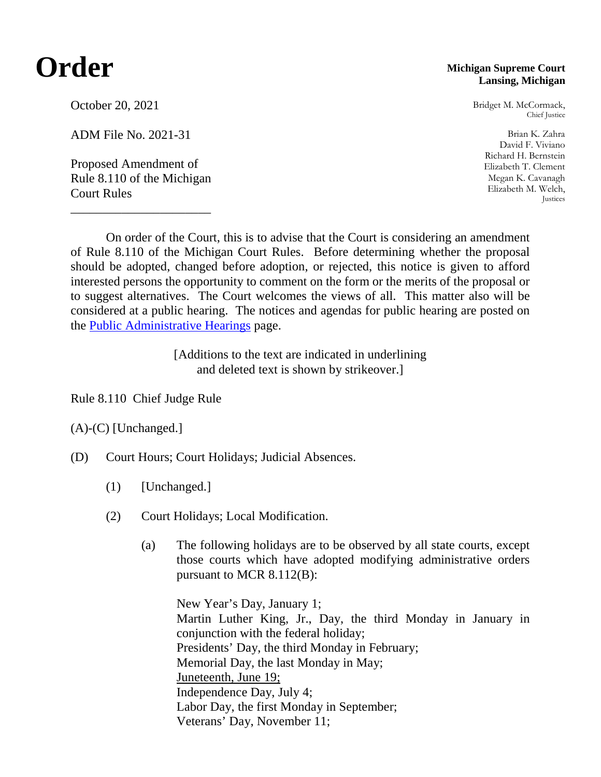## **Order**

## October 20, 2021

ADM File No. 2021-31

Proposed Amendment of Rule 8.110 of the Michigan Court Rules

\_\_\_\_\_\_\_\_\_\_\_\_\_\_\_\_\_\_\_\_\_\_

## **Michigan Supreme Court Lansing, Michigan**

Bridget M. McCormack, Chief Justice

Brian K. Zahra David F. Viviano Richard H. Bernstein Elizabeth T. Clement Megan K. Cavanagh Elizabeth M. Welch, Justices

On order of the Court, this is to advise that the Court is considering an amendment of Rule 8.110 of the Michigan Court Rules. Before determining whether the proposal should be adopted, changed before adoption, or rejected, this notice is given to afford interested persons the opportunity to comment on the form or the merits of the proposal or to suggest alternatives. The Court welcomes the views of all. This matter also will be considered at a public hearing. The notices and agendas for public hearing are posted on the [Public Administrative Hearings](https://www.courts.michigan.gov/rules-administrative-orders-and-jury-instructions/public-administrative-hearings/) page.

> [Additions to the text are indicated in underlining and deleted text is shown by strikeover.]

Rule 8.110 Chief Judge Rule

(A)-(C) [Unchanged.]

- (D) Court Hours; Court Holidays; Judicial Absences.
	- (1) [Unchanged.]
	- (2) Court Holidays; Local Modification.
		- (a) The following holidays are to be observed by all state courts, except those courts which have adopted modifying administrative orders pursuant to MCR 8.112(B):

New Year's Day, January 1; Martin Luther King, Jr., Day, the third Monday in January in conjunction with the federal holiday; Presidents' Day, the third Monday in February; Memorial Day, the last Monday in May; Juneteenth, June 19; Independence Day, July 4; Labor Day, the first Monday in September; Veterans' Day, November 11;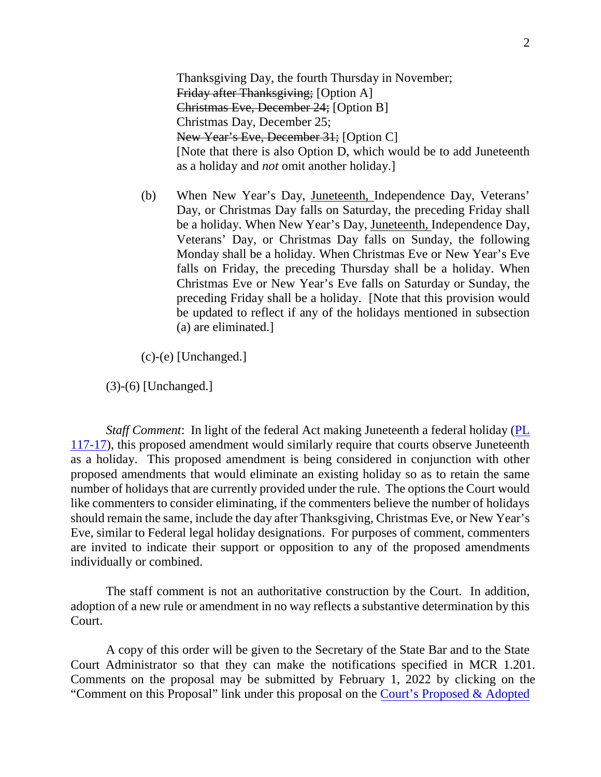Thanksgiving Day, the fourth Thursday in November; Friday after Thanksgiving; [Option A] Christmas Eve, December 24; [Option B] Christmas Day, December 25; New Year's Eve, December 31; [Option C] [Note that there is also Option D, which would be to add Juneteenth as a holiday and *not* omit another holiday.]

(b) When New Year's Day, Juneteenth, Independence Day, Veterans' Day, or Christmas Day falls on Saturday, the preceding Friday shall be a holiday. When New Year's Day, Juneteenth, Independence Day, Veterans' Day, or Christmas Day falls on Sunday, the following Monday shall be a holiday. When Christmas Eve or New Year's Eve falls on Friday, the preceding Thursday shall be a holiday. When Christmas Eve or New Year's Eve falls on Saturday or Sunday, the preceding Friday shall be a holiday. [Note that this provision would be updated to reflect if any of the holidays mentioned in subsection (a) are eliminated.]

(c)-(e) [Unchanged.]

(3)-(6) [Unchanged.]

*Staff Comment*: In light of the federal Act making Juneteenth a federal holiday [\(PL](https://www.govinfo.gov/content/pkg/PLAW-117publ17/pdf/PLAW-117publ17.pdf)  [117-17\)](https://www.govinfo.gov/content/pkg/PLAW-117publ17/pdf/PLAW-117publ17.pdf), this proposed amendment would similarly require that courts observe Juneteenth as a holiday. This proposed amendment is being considered in conjunction with other proposed amendments that would eliminate an existing holiday so as to retain the same number of holidays that are currently provided under the rule. The options the Court would like commenters to consider eliminating, if the commenters believe the number of holidays should remain the same, include the day after Thanksgiving, Christmas Eve, or New Year's Eve, similar to Federal legal holiday designations. For purposes of comment, commenters are invited to indicate their support or opposition to any of the proposed amendments individually or combined.

The staff comment is not an authoritative construction by the Court. In addition, adoption of a new rule or amendment in no way reflects a substantive determination by this Court.

A copy of this order will be given to the Secretary of the State Bar and to the State Court Administrator so that they can make the notifications specified in MCR 1.201. Comments on the proposal may be submitted by February 1, 2022 by clicking on the "Comment on this Proposal" link under this proposal on the [Court's Proposed & Adopted](https://www.courts.michigan.gov/rules-administrative-orders-and-jury-instructions/proposed-adopted/michigan-court-rules/)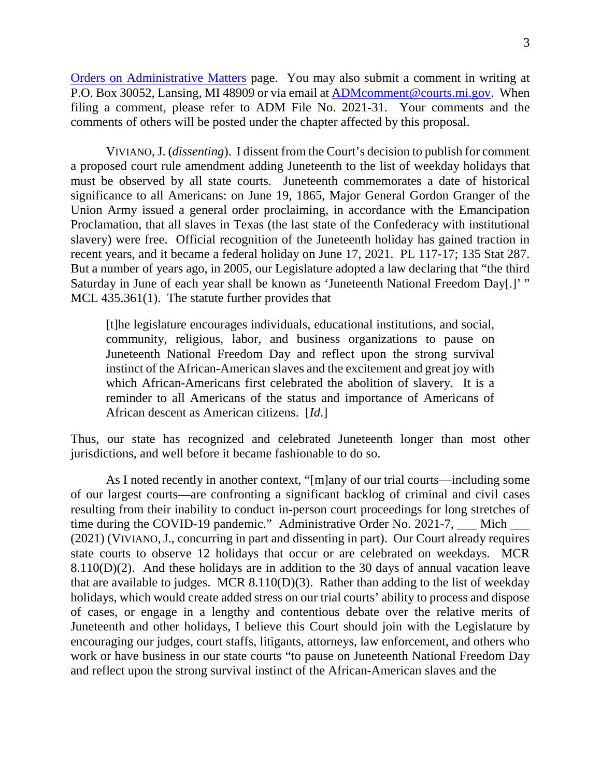3

[Orders on Administrative Matters](https://www.courts.michigan.gov/rules-administrative-orders-and-jury-instructions/proposed-adopted/michigan-court-rules/) page. You may also submit a comment in writing at P.O. Box 30052, Lansing, MI 48909 or via email at [ADMcomment@courts.mi.gov.](mailto:ADMcomment@courts.mi.gov) When filing a comment, please refer to ADM File No. 2021-31. Your comments and the comments of others will be posted under the chapter affected by this proposal.

VIVIANO, J. (*dissenting*). I dissent from the Court's decision to publish for comment a proposed court rule amendment adding Juneteenth to the list of weekday holidays that must be observed by all state courts. Juneteenth commemorates a date of historical significance to all Americans: on June 19, 1865, Major General Gordon Granger of the Union Army issued a general order proclaiming, in accordance with the Emancipation Proclamation, that all slaves in Texas (the last state of the Confederacy with institutional slavery) were free. Official recognition of the Juneteenth holiday has gained traction in recent years, and it became a federal holiday on June 17, 2021. PL 117-17; 135 Stat 287. But a number of years ago, in 2005, our Legislature adopted a law declaring that "the third Saturday in June of each year shall be known as 'Juneteenth National Freedom Day[.]' " MCL 435.361(1). The statute further provides that

[t]he legislature encourages individuals, educational institutions, and social, community, religious, labor, and business organizations to pause on Juneteenth National Freedom Day and reflect upon the strong survival instinct of the African-American slaves and the excitement and great joy with which African-Americans first celebrated the abolition of slavery. It is a reminder to all Americans of the status and importance of Americans of African descent as American citizens. [*Id*.]

Thus, our state has recognized and celebrated Juneteenth longer than most other jurisdictions, and well before it became fashionable to do so.

As I noted recently in another context, "[m]any of our trial courts—including some of our largest courts—are confronting a significant backlog of criminal and civil cases resulting from their inability to conduct in-person court proceedings for long stretches of time during the COVID-19 pandemic." Administrative Order No. 2021-7, Mich (2021) (VIVIANO,J., concurring in part and dissenting in part). Our Court already requires state courts to observe 12 holidays that occur or are celebrated on weekdays. MCR 8.110(D)(2). And these holidays are in addition to the 30 days of annual vacation leave that are available to judges. MCR  $8.110(D)(3)$ . Rather than adding to the list of weekday holidays, which would create added stress on our trial courts' ability to process and dispose of cases, or engage in a lengthy and contentious debate over the relative merits of Juneteenth and other holidays, I believe this Court should join with the Legislature by encouraging our judges, court staffs, litigants, attorneys, law enforcement, and others who work or have business in our state courts "to pause on Juneteenth National Freedom Day and reflect upon the strong survival instinct of the African-American slaves and the